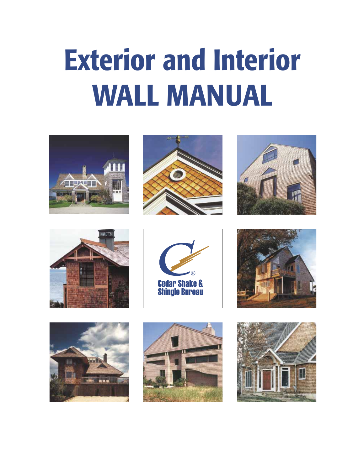# **Exterior and Interior WALL MANUAL**

















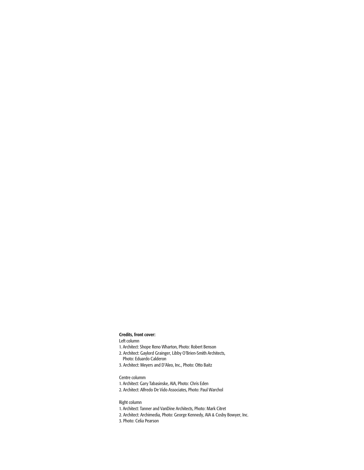#### **Credits, front cover:** Left column

- 1. Architect: Shope Reno Wharton, Photo: Robert Benson
- 2. Architect: Gaylord Grainger, Libby O'Brien-Smith Architects,
- Photo: Eduardo Calderon
- 3. Architect: Meyers and D'Aleo, Inc., Photo: Otto Baitz

#### Centre columm

- 1. Architect: Gary Tabasinske, AIA, Photo: Chris Eden
- 2. Architect: Alfredo De Vido Associates, Photo: Paul Warchol

#### Right column

- 1. Architect: Tanner and VanDine Architects, Photo: Mark Citret
- 2. Architect: Archimedia, Photo: George Kennedy, AIA & Cosby Bowyer, Inc.
- 3. Photo: Celia Pearson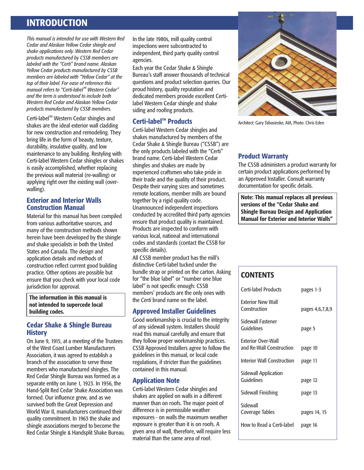## **INTRODUCTION**

*This manual is intended for use with Western Red Cedar and Alaskan Yellow Cedar shingle and shake applications only. Western Red Cedar products manufactured by CSSB members are labeled with the "Certi" brand name. Alaskan Yellow Cedar products manufactured by CSSB members are labeled with "Yellow Cedar" at the top of their label. For ease of reference this*<br>*manual refers to "Certi-label*™ Western Cedar" *and the term is understood to include both Western Red Cedar and Alaskan Yellow Cedar products manufactured by CSSB members.*

Certi-label<sup>™</sup> Western Cedar shingles and shakes are the ideal exterior wall cladding for new construction and remodeling. They bring life in the form of beauty, texture, durability, insulative quality, and low maintenance to any building. Restyling with Certi-label Western Cedar shingles or shakes is easily accomplished, whether replacing the previous wall material (re-walling) or applying right over the existing wall (overwalling).

## **Exterior and Interior Walls Construction Manual**

Material for this manual has been compiled from various authoritative sources, and many of the construction methods shown herein have been developed by the shingle and shake specialists in both the United States and Canada. The design and application details and methods of construction reflect current good building practice. Other options are possible but ensure that you check with your local code jurisdiction for approval.

**The information in this manual is not intended to supercede local building codes.**

## **Cedar Shake & Shingle Bureau History**

On June 9, 1915, at a meeting of the Trustees of the West Coast Lumber Manufacturers Association, it was agreed to establish a branch of the association to serve those members who manufactured shingles. The Red Cedar Shingle Bureau was formed as a separate entity on June 1, 1923. In 1956, the Hand-Split Red Cedar Shake Association was formed. Our influence grew, and as we survived both the Great Depression and World War II, manufacturers continued their quality commitment. In 1963 the shake and shingle associations merged to become the Red Cedar Shingle & Handsplit Shake Bureau. In the late 1980s, mill quality control inspections were subcontracted to independent, third party quality control agencies.

Each year the Cedar Shake & Shingle Bureau's staff answer thousands of technical questions and product selection queries. Our proud history, quality reputation and dedicated members provide excellent Certilabel Western Cedar shingle and shake siding and roofing products.

## **Certi-label<sup>™</sup> Products**

Certi-label Western Cedar shingles and shakes manufactured by members of the Cedar Shake & Shingle Bureau ("CSSB") are the only products labeled with the "Certi" brand name. Certi-label Western Cedar shingles and shakes are made by experienced craftsmen who take pride in their trade and the quality of their product. Despite their varying sizes and sometimes remote locations, member mills are bound together by a rigid quality code. Unannounced independent inspections conducted by accredited third party agencies ensure that product quality is maintained. Products are inspected to conform with various local, national and international codes and standards (contact the CSSB for specific details).

All CSSB member product has the mill's distinctive Certi-label tucked under the bundle strap or printed on the carton. Asking for "the blue label" or "number one blue label" is not specific enough: CSSB members' products are the only ones with the *Certi* brand name on the label.

## **Approved Installer Guidelines**

Good workmanship is crucial to the integrity of any sidewall system. Installers should read this manual carefully and ensure that they follow proper workmanship practices. CSSB Approved Installers agree to follow the guidelines in this manual, or local code regulations, if stricter than the guidelines contained in this manual.

## **Application Note**

Certi-label Western Cedar shingles and shakes are applied on walls in a different manner than on roofs. The major point of difference is in permissible weather exposures - on walls the maximum weather exposure is greater than it is on roofs. A given area of wall, therefore, will require less material than the same area of roof.



Architect: Gary Tabasinske, AIA, Photo: Chris Eden

## **Product Warranty**

The CSSB administers a product warranty for certain product applications performed by an Approved Installer. Consult warranty documentation for specific details.

**Note: This manual replaces all previous versions of the "Cedar Shake and Shingle Bureau Design and Application Manual for Exterior and Interior Walls"**

## **CONTENTS**

| Certi-label Products                                  | pages 1-3       |
|-------------------------------------------------------|-----------------|
| <b>Exterior New Wall</b><br>Construction              | pages 4,6,7,8,9 |
| Sidewall Fastener<br>Guidelines                       | page 5          |
| <b>Exterior Over-Wall</b><br>and Re-Wall Construction | page 10         |
| <b>Interior Wall Construction</b>                     | page 11         |
| Sidewall Application<br>Guidelines                    | page 12         |
| Sidewall Finishing                                    | page 13         |
| Sidewall<br>Coverage Tables                           | pages 14, 15    |
| How to Read a Certi-label                             | page 16         |
|                                                       |                 |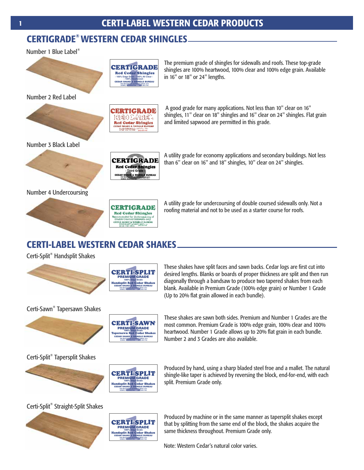## **® CERTIGRADE WESTERN CEDAR SHINGLES**

Number 1 Blue Label<sup>®</sup>





Number 3 Black Label



## Number 4 Undercoursing



**CERTIGRADE** Red Cedar Shingles The premium grade of shingles for sidewalls and roofs. These top-grade shingles are 100% heartwood, 100% clear and 100% edge grain. Available in 16" or 18" or 24" lengths.



**SUMAS, WASHINGTON (604) 820-7700**

 A good grade for many applications. Not less than 10" clear on 16" shingles, 11" clear on 18" shingles and 16" clear on 24" shingles. Flat grain and limited sapwood are permitted in this grade.



**CERTIGRADE** Red Cedar Shingles **E & SH** 

**(604) 820-7700**

**(604) 820-7700**

A utility grade for economy applications and secondary buildings. Not less than 6" clear on 16" and 18" shingles, 10" clear on 24" shingles.

A utility grade for undercoursing of double coursed sidewalls only. Not a roofing material and not to be used as a starter course for roofs.

## **CERTI-LABEL WESTERN CEDAR SHAKES**

Certi-Split<sup>®</sup> Handsplit Shakes





These shakes have split faces and sawn backs. Cedar logs are first cut into desired lengths. Blanks or boards of proper thickness are split and then run diagonally through a bandsaw to produce two tapered shakes from each blank. Available in Premium Grade (100% edge grain) or Number 1 Grade (Up to 20% flat grain allowed in each bundle).

## Certi-Sawn<sup>®</sup> Tapersawn Shakes



**CERTI-SAWN** PREMIUM GRADE 100% Edge Grain <sub>aye uram</sub><br>d Cedar Shal CEDAR SHAKE & SHINGLE BUREAU *THE RECOGNIZED AUTHORITY* **SINCE 1915 SUMAS, WASHINGTON (604) 820-7700**

These shakes are sawn both sides. Premium and Number 1 Grades are the most common. Premium Grade is 100% edge grain, 100% clear and 100% heartwood. Number 1 Grade allows up to 20% flat grain in each bundle. Number 2 and 3 Grades are also available.

## Certi-Split<sup>®</sup> Tapersplit Shakes





Produced by hand, using a sharp bladed steel froe and a mallet. The natural shingle-like taper is achieved by reversing the block, end-for-end, with each split. Premium Grade only.

## Certi-Split<sup>®</sup> Straight-Split Shakes



Handsplit Red Cedar Shakes CEDAR SHAKE & SHINGLE BUREAU *THE RECOGNIZED AUTHORITY* **SINCE 1915 SUMAS, WASHINGTON (604) 820-7700 CERTI-SPLIT** PREMIUM GRADE

Produced by machine or in the same manner as tapersplit shakes except that by splitting from the same end of the block, the shakes acquire the same thickness throughout. Premium Grade only.

Note: Western Cedar's natural color varies.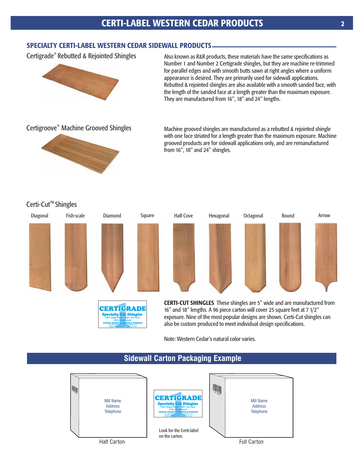## **SPECIALTY CERTI-LABEL WESTERN CEDAR SIDEWALL PRODUCTS**

**- 100% Edge Grain - 100% All Clear - - 100% Heartwood -**

- 100% Edge Grain - 100% All Clear -CEDAR SHAKE & SHINGLE BUREAU *THE RECOGNIZED AUTHORITY SINCE 1915* **SUMAS, WASHINGTON (604) 820-7700**

Certigrade<sup>®</sup> Rebutted & Rejointed Shingles



Also known as R&R products, these materials have the same specifications as Number 1 and Number 2 Certigrade shingles, but they are machine re-trimmed for parallel edges and with smooth butts sawn at right angles where a uniform appearance is desired. They are primarily used for sidewall applications. Rebutted & rejointed shingles are also available with a smooth sanded face, with the length of the sanded face at a length greater than the maximum exposure. They are manufactured from 16", 18" and 24" lengths.

## Certigroove<sup>®</sup> Machine Grooved Shingles



Machine grooved shingles are manufactured as a rebutted & rejointed shingle with one face striated for a length greater than the maximum exposure. Machine grooved products are for sidewall applications only, and are remanufactured from 16", 18" and 24" shingles.



16" and 18" lengths. A 96 piece carton will cover 25 square feet at 7 1/2" exposure. Nine of the most popular designs are shown. Certi-Cut shingles can also be custom produced to meet individual design specifications.

Note: Western Cedar's natural color varies.



## **Sidewall Carton Packaging Example**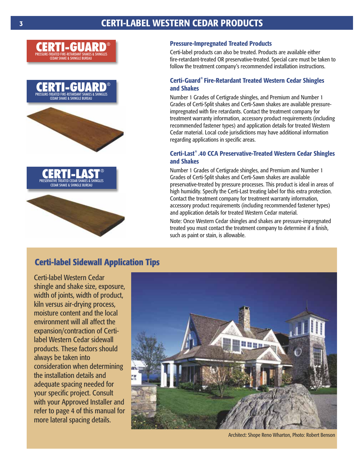## **CERTI-LABEL WESTERN CEDAR PRODUCTS**







## **Pressure-Impregnated Treated Products**

Certi-label products can also be treated. Products are available either fire-retardant-treated OR preservative-treated. Special care must be taken to follow the treatment company's recommended installation instructions.

## **Certi-Guard<sup>®</sup> Fire-Retardant Treated Western Cedar Shingles and Shakes**

Number 1 Grades of Certigrade shingles, and Premium and Number 1 Grades of Certi-Split shakes and Certi-Sawn shakes are available pressureimpregnated with fire retardants. Contact the treatment company for treatment warranty information, accessory product requirements (including recommended fastener types) and application details for treated Western Cedar material. Local code jurisdictions may have additional information regarding applications in specific areas.

## **® Certi-Last .40 CCA Preservative-Treated Western Cedar Shingles and Shakes**

Number 1 Grades of Certigrade shingles, and Premium and Number 1 Grades of Certi-Split shakes and Certi-Sawn shakes are available preservative-treated by pressure processes. This product is ideal in areas of high humidity. Specify the Certi-Last treating label for this extra protection. Contact the treatment company for treatment warranty information, accessory product requirements (including recommended fastener types) and application details for treated Western Cedar material.

Note: Once Western Cedar shingles and shakes are pressure-impregnated treated you must contact the treatment company to determine if a finish, such as paint or stain, is allowable.

## **Certi-label Sidewall Application Tips**

Certi-label Western Cedar shingle and shake size, exposure, width of joints, width of product, kiln versus air-drying process, moisture content and the local environment will all affect the expansion/contraction of Certilabel Western Cedar sidewall products. These factors should always be taken into consideration when determining the installation details and adequate spacing needed for your specific project. Consult with your Approved Installer and refer to page 4 of this manual for more lateral spacing details.



Architect: Shope Reno Wharton, Photo: Robert Benson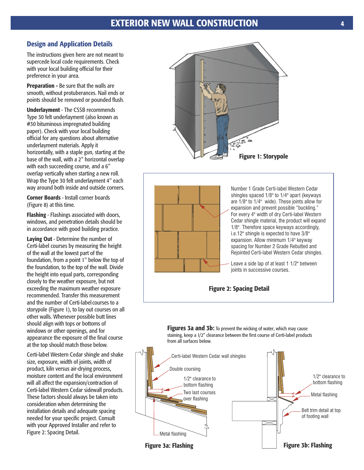## **Design and Application Details**

The instructions given here are not meant to supercede local code requirements. Check with your local building official for their preference in your area.

**Preparation - Be sure that the walls are** smooth, without protuberances. Nail ends or points should be removed or pounded flush.

**Underlayment** - The CSSB recommends Type 30 felt underlayment (also known as #30 bituminous impregnated building paper). Check with your local building official for any questions about alternative underlayment materials. Apply it horizontally, with a staple gun, starting at the base of the wall, with a 2" horizontal overlap with each succeeding course, and a 6" overlap vertically when starting a new roll. Wrap the Type 30 felt underlayment 4" each way around both inside and outside corners.

**Corner Boards** - Install corner boards (Figure 8) at this time.

**Flashing** - Flashings associated with doors, windows, and penetration details should be in accordance with good building practice.

**Laying Out** - Determine the number of Certi-label courses by measuring the height of the wall at the lowest part of the foundation, from a point 1" below the top of the foundation, to the top of the wall. Divide the height into equal parts, corresponding closely to the weather exposure, but not exceeding the maximum weather exposure recommended. Transfer this measurement and the number of Certi-label courses to a storypole (Figure 1), to lay out courses on all other walls. Whenever possible butt lines should align with tops or bottoms of windows or other openings, and for appearance the exposure of the final course at the top should match those below.

Certi-label Western Cedar shingle and shake size, exposure, width of joints, width of product, kiln versus air-drying process, moisture content and the local environment will all affect the expansion/contraction of Certi-label Western Cedar sidewall products. These factors should always be taken into consideration when determining the installation details and adequate spacing needed for your specific project. Consult with your Approved Installer and refer to Figure 2: Spacing Detail.





Number 1 Grade Certi-label Western Cedar shingles spaced 1/8" to 1/4" apart (keyways are 1/8" to 1/4" wide). These joints allow for expansion and prevent possible "buckling." For every 4" width of dry Certi-label Western Cedar shingle material, the product will expand 1/8". Therefore space keyways accordingly, i.e.12" shingle is expected to have 3/8" expansion. Allow minimum 1/4" keyway spacing for Number 2 Grade Rebutted and Rejointed Certi-label Western Cedar shingles.

Leave a side lap of at least 1 1/2" between joints in successive courses.



**Figures 3a and 3b:** To prevent the wicking of water, which may cause staining, keep a 1/2" clearance between the first course of Certi-label products from all surfaces below.

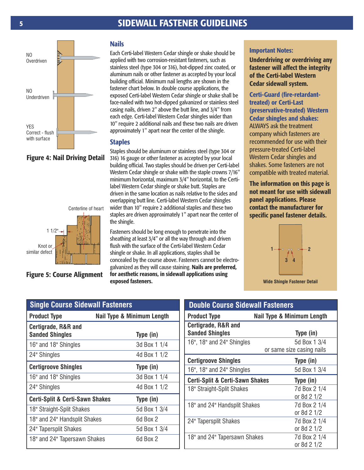## **SIDEWALL FASTENER GUIDELINES**



## **Figure 4: Nail Driving Detail**



**Figure 5: Course Alignment**

## **Nails**

Each Certi-label Western Cedar shingle or shake should be applied with two corrosion-resistant fasteners, such as stainless steel (type 304 or 316), hot-dipped zinc coated, or aluminum nails or other fastener as accepted by your local building official. Minimum nail lengths are shown in the fastener chart below. In double course applications, the exposed Certi-label Western Cedar shingle or shake shall be face-nailed with two hot-dipped galvanized or stainless steel casing nails, driven 2" above the butt line, and 3/4" from each edge. Certi-label Western Cedar shingles wider than 10" require 2 additional nails and these two nails are driven approximately 1" apart near the center of the shingle.

#### **Staples**

Staples should be aluminum or stainless steel (type 304 or 316) 16 gauge or other fastener as accepted by your local building official. Two staples should be driven per Certi-label Western Cedar shingle or shake with the staple crowns 7/16" minimum horizontal, maximum 3/4" horizontal, to the Certilabel Western Cedar shingle or shake butt. Staples are driven in the same location as nails relative to the sides and overlapping butt line. Certi-label Western Cedar shingles wider than 10" require 2 additional staples and these two staples are driven approximately 1" apart near the center of the shingle.

Fasteners should be long enough to penetrate into the sheathing at least 3/4" or all the way through and driven flush with the surface of the Certi-label Western Cedar shingle or shake. In all applications, staples shall be concealed by the course above. Fasteners cannot be electrogalvanized as they will cause staining. **Nails are preferred, for aesthetic reasons, in sidewall applications using exposed fasteners.**

#### **Important Notes:**

**Underdriving or overdriving any fastener will affect the integrity of the Certi-label Western Cedar sidewall system.**

**Certi-Guard (fire-retardanttreated) or Certi-Last (preservative-treated) Western Cedar shingles and shakes:** ALWAYS ask the treatment company which fasteners are recommended for use with their pressure-treated Certi-label Western Cedar shingles and shakes. Some fasteners are not compatible with treated material.

**The information on this page is not meant for use with sidewall panel applications. Please contact the manufacturer for specific panel fastener details.**



**Wide Shingle Fastener Detail**

| <b>Single Course Sidewall Fasteners</b>                  |                                       |  |  |  |  |  |
|----------------------------------------------------------|---------------------------------------|--|--|--|--|--|
| <b>Product Type</b>                                      | <b>Nail Type &amp; Minimum Length</b> |  |  |  |  |  |
| <b>Certigrade, R&amp;R and</b><br><b>Sanded Shingles</b> | Type (in)                             |  |  |  |  |  |
| 16" and 18" Shingles                                     | 3d Box 1 1/4                          |  |  |  |  |  |
| 24" Shingles                                             | 4d Box 1 1/2                          |  |  |  |  |  |
| <b>Certigroove Shingles</b>                              | Type (in)                             |  |  |  |  |  |
| 16" and 18" Shingles                                     | 3d Box 1 1/4                          |  |  |  |  |  |
| 24" Shingles                                             | 4d Box 1 1/2                          |  |  |  |  |  |
| <b>Certi-Split &amp; Certi-Sawn Shakes</b>               | Type (in)                             |  |  |  |  |  |
| 18" Straight-Split Shakes                                | 5d Box 1 3/4                          |  |  |  |  |  |
| 18" and 24" Handsplit Shakes                             | 6d Box 2                              |  |  |  |  |  |
| 24" Tapersplit Shakes                                    | 5d Box 1 3/4                          |  |  |  |  |  |
| 18" and 24" Tapersawn Shakes                             | 6d Box 2                              |  |  |  |  |  |

| <b>Double Course Sidewall Fasteners</b>                     |  |  |  |  |  |  |
|-------------------------------------------------------------|--|--|--|--|--|--|
| <b>Nail Type &amp; Minimum Length</b>                       |  |  |  |  |  |  |
| Type (in)                                                   |  |  |  |  |  |  |
| 5d Box 1 3/4<br>or same size casing nails                   |  |  |  |  |  |  |
| Type (in)                                                   |  |  |  |  |  |  |
| 5d Box 1 3/4                                                |  |  |  |  |  |  |
| <b>Certi-Split &amp; Certi-Sawn Shakes</b><br>Type (in)     |  |  |  |  |  |  |
| 7d Box 2 1/4<br>or 8d 2 1/2                                 |  |  |  |  |  |  |
| 18" and 24" Handsplit Shakes<br>7d Box 2 1/4<br>or 8d 2 1/2 |  |  |  |  |  |  |
| 7d Box 2 1/4<br>or 8d 2 1/2                                 |  |  |  |  |  |  |
| 18" and 24" Tapersawn Shakes<br>7d Box 2 1/4<br>or 8d 2 1/2 |  |  |  |  |  |  |
|                                                             |  |  |  |  |  |  |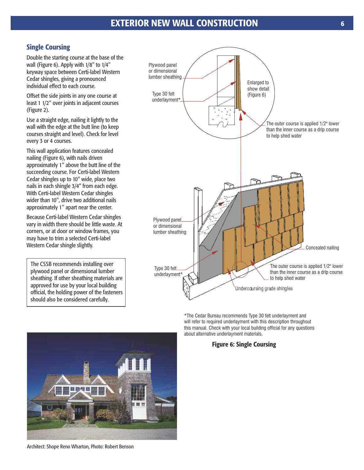## **Single Coursing**

Double the starting course at the base of the wall (Figure 6). Apply with 1/8" to 1/4" keyway space between Certi-label Western Cedar shingles, giving a pronounced individual effect to each course.

Offset the side joints in any one course at least 1 1/2" over joints in adjacent courses (Figure 2).

Use a straight edge, nailing it lightly to the wall with the edge at the butt line (to keep courses straight and level). Check for level every 3 or 4 courses.

This wall application features concealed nailing (Figure 6), with nails driven approximately 1" above the butt line of the succeeding course. For Certi-label Western Cedar shingles up to 10" wide, place two nails in each shingle 3/4" from each edge. With Certi-label Western Cedar shingles wider than 10", drive two additional nails approximately 1" apart near the center.

Because Certi-label Western Cedar shingles vary in width there should be little waste. At corners, or at door or window frames, you may have to trim a selected Certi-label Western Cedar shingle slightly.

The CSSB recommends installing over plywood panel or dimensional lumber sheathing. If other sheathing materials are approved for use by your local building official, the holding power of the fasteners should also be considered carefully.



\*The Cedar Bureau recommends Type 30 felt underlayment and will refer to required underlayment with this description throughout this manual. Check with your local building official for any questions about alternative underlayment materials.

## **Figure 6: Single Coursing**



Architect: Shope Reno Wharton, Photo: Robert Benson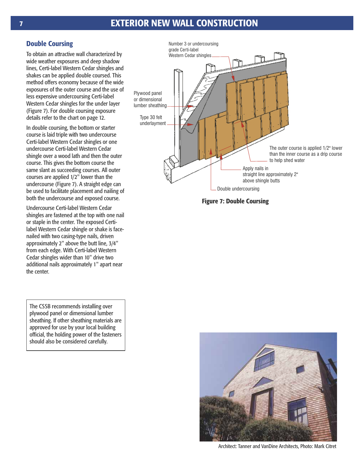## **7 EXTERIOR NEW WALL CONSTRUCTION**

## **Double Coursing**

To obtain an attractive wall characterized by wide weather exposures and deep shadow lines, Certi-label Western Cedar shingles and shakes can be applied double coursed. This method offers economy because of the wide exposures of the outer course and the use of less expensive undercoursing Certi-label Western Cedar shingles for the under layer (Figure 7). For double coursing exposure details refer to the chart on page 12.

In double coursing, the bottom or starter course is laid triple with two undercourse Certi-label Western Cedar shingles or one undercourse Certi-label Western Cedar shingle over a wood lath and then the outer course. This gives the bottom course the same slant as succeeding courses. All outer courses are applied 1/2" lower than the undercourse (Figure 7). A straight edge can be used to facilitate placement and nailing of both the undercourse and exposed course.

Undercourse Certi-label Western Cedar shingles are fastened at the top with one nail or staple in the center. The exposed Certilabel Western Cedar shingle or shake is facenailed with two casing-type nails, driven approximately 2" above the butt line, 3/4" from each edge. With Certi-label Western Cedar shingles wider than 10" drive two additional nails approximately 1" apart near the center.

The CSSB recommends installing over plywood panel or dimensional lumber sheathing. If other sheathing materials are approved for use by your local building official, the holding power of the fasteners should also be considered carefully.



**Figure 7: Double Coursing**



Architect: Tanner and VanDine Architects, Photo: Mark Citret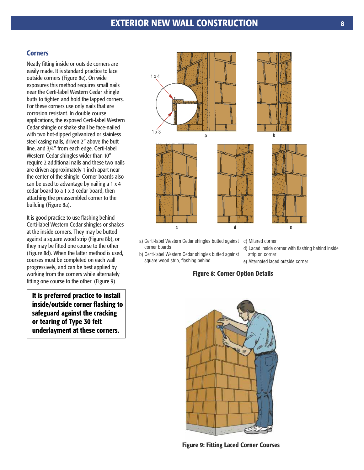## **EXTERIOR NEW WALL CONSTRUCTION**

#### **Corners**

Neatly fitting inside or outside corners are easily made. It is standard practice to lace outside corners (Figure 8e). On wide exposures this method requires small nails near the Certi-label Western Cedar shingle butts to tighten and hold the lapped corners. For these corners use only nails that are corrosion resistant. In double course applications, the exposed Certi-label Western Cedar shingle or shake shall be face-nailed with two hot-dipped galvanized or stainless steel casing nails, driven 2" above the butt line, and 3/4" from each edge. Certi-label Western Cedar shingles wider than 10" require 2 additional nails and these two nails are driven approximately 1 inch apart near the center of the shingle. Corner boards also can be used to advantage by nailing a 1 x 4 cedar board to a 1 x 3 cedar board, then attaching the preassembled corner to the building (Figure 8a).

It is good practice to use flashing behind Certi-label Western Cedar shingles or shakes at the inside corners. They may be butted against a square wood strip (Figure 8b), or they may be fitted one course to the other (Figure 8d). When the latter method is used, courses must be completed on each wall progressively, and can be best applied by working from the corners while alternately fitting one course to the other. (Figure 9)

**It is preferred practice to install inside/outside corner flashing to safeguard against the cracking or tearing of Type 30 felt underlayment at these corners.**



- a) Certi-label Western Cedar shingles butted against corner boards
- b) Certi-label Western Cedar shingles butted against square wood strip, flashing behind
- c) Mitered corner
- d) Laced inside corner with flashing behind inside strip on corner
- e) Alternated laced outside corner

## **Figure 8: Corner Option Details**



**Figure 9: Fitting Laced Corner Courses**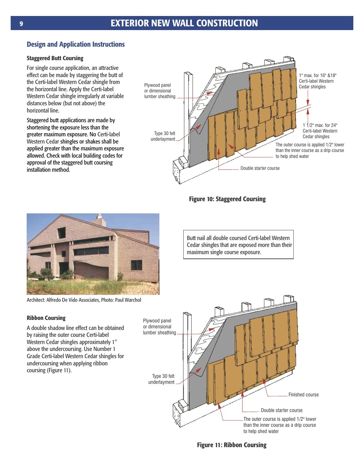## **Design and Application Instructions**

## **Staggered Butt Coursing**

For single course application, an attractive effect can be made by staggering the butt of the Certi-label Western Cedar shingle from the horizontal line. Apply the Certi-label Western Cedar shingle irregularly at variable distances below (but not above) the horizontal line.

greater maximum exposure. No Certi-label Western Cedar shingles or shakes shall be Staggered butt applications are made by shortening the exposure less than the applied greater than the maximum exposure allowed. Check with local building codes for approval of the staggered butt coursing installation method.



**Figure 10: Staggered Coursing**



Architect: Alfredo De Vido Associates, Photo: Paul Warchol

## **Ribbon Coursing**

A double shadow line effect can be obtained by raising the outer course Certi-label Western Cedar shingles approximately 1" above the undercoursing. Use Number 1 Grade Certi-label Western Cedar shingles for undercoursing when applying ribbon coursing (Figure 11).



Butt nail all double coursed Certi-label Western Cedar shingles that are exposed more than their maximum single course exposure.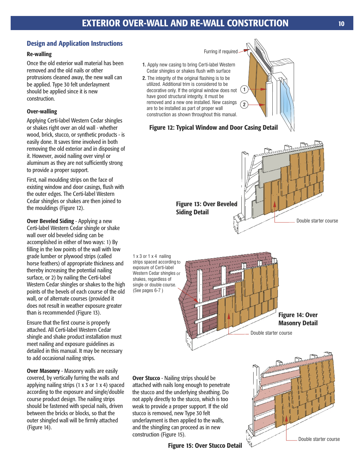## **Design and Application Instructions**

### **Re-walling**

Once the old exterior wall material has been removed and the old nails or other protrusions cleaned away, the new wall can be applied. Type 30 felt underlayment should be applied since it is new construction.

## **Over-walling**

Applying Certi-label Western Cedar shingles or shakes right over an old wall - whether wood, brick, stucco, or synthetic products - is easily done. It saves time involved in both removing the old exterior and in disposing of it. However, avoid nailing over vinyl or aluminum as they are not sufficiently strong to provide a proper support.

First, nail moulding strips on the face of existing window and door casings, flush with the outer edges. The Certi-label Western Cedar shingles or shakes are then joined to the mouldings (Figure 12).

**Over Beveled Siding** - Applying a new Certi-label Western Cedar shingle or shake wall over old beveled siding can be accomplished in either of two ways: 1) By filling in the low points of the wall with low grade lumber or plywood strips (called horse feathers) of appropriate thickness and thereby increasing the potential nailing surface, or 2) by nailing the Certi-label Western Cedar shingles or shakes to the high points of the bevels of each course of the old wall, or of alternate courses (provided it does not result in weather exposure greater than is recommended (Figure 13).

Ensure that the first course is properly attached. All Certi-label Western Cedar shingle and shake product installation must meet nailing and exposure guidelines as detailed in this manual. It may be necessary to add occasional nailing strips.

**Over Masonry** - Masonry walls are easily covered, by vertically furring the walls and applying nailing strips (1 x 3 or 1 x 4) spaced according to the exposure and single/double course product design. The nailing strips should be fastened with special nails, driven between the bricks or blocks, so that the outer shingled wall will be firmly attached (Figure 14).



attached with nails long enough to penetrate the stucco and the underlying sheathing. Do not apply directly to the stucco, which is too weak to provide a proper support. If the old stucco is removed, new Type 30 felt underlayment is then applied to the walls, and the shingling can proceed as in new construction (Figure 15).

**Figure 15: Over Stucco Detail**

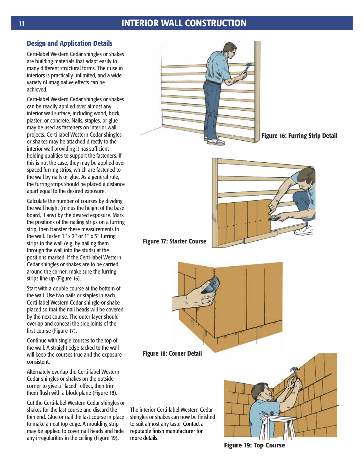## **11 INTERIOR WALL CONSTRUCTION**

## **Design and Application Details**

Certi-label Western Cedar shingles or shakes are building materials that adapt easily to many different structural forms. Their use in interiors is practically unlimited, and a wide variety of imaginative effects can be achieved.

Certi-label Western Cedar shingles or shakes can be readily applied over almost any interior wall surface, including wood, brick, plaster, or concrete. Nails, staples, or glue may be used as fasteners on interior wall projects. Certi-label Western Cedar shingles or shakes may be attached directly to the interior wall providing it has sufficient holding qualities to support the fasteners. If this is not the case, they may be applied over spaced furring strips, which are fastened to the wall by nails or glue. As a general rule, the furring strips should be placed a distance apart equal to the desired exposure.

Calculate the number of courses by dividing the wall height (minus the height of the base board, if any) by the desired exposure. Mark the positions of the nailing strips on a furring strip, then transfer these measurements to the wall. Fasten 1" x 2" or 1" x 3" furring strips to the wall (e.g. by nailing them through the wall into the studs) at the positions marked. If the Certi-label Western Cedar shingles or shakes are to be carried around the corner, make sure the furring strips line up (Figure 16).

Start with a double course at the bottom of the wall. Use two nails or staples in each Certi-label Western Cedar shingle or shake placed so that the nail heads will be covered by the next course. The outer layer should overlap and conceal the side joints of the first course (Figure 17).

Continue with single courses to the top of the wall. A straight edge tacked to the wall will keep the courses true and the exposure consistent.

Alternately overlap the Certi-label Western Cedar shingles or shakes on the outside corner to give a ''laced'' effect, then trim them flush with a block plane (Figure 18).

Cut the Certi-label Western Cedar shingles or shakes for the last course and discard the thin end. Glue or nail the last course in place to make a neat top edge. A moulding strip may be applied to cover nail heads and hide any irregularities in the ceiling (Figure 19).



**Figure 16: Furring Strip Detail**



## **Figure 17: Starter Course**



#### **Figure 18: Corner Detail**

The interior Certi-label Western Cedar shingles or shakes can now be finished to suit almost any taste. Contact a reputable finish manufacturer for more details.



**Figure 19: Top Course**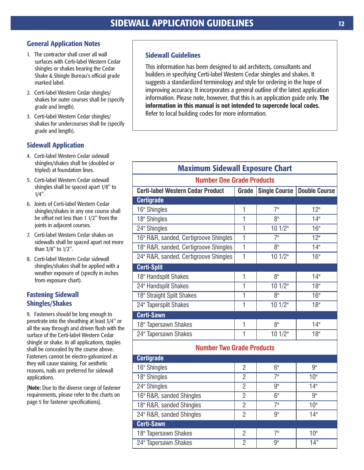## **General Application Notes**

- 1. The contractor shall cover all wall surfaces with Certi-label Western Cedar shingles or shakes bearing the Cedar Shake & Shingle Bureau's official grade marked label.
- 2. Certi-label Western Cedar shingles/ shakes for outer courses shall be (specify grade and length).
- 3. Certi-label Western Cedar shingles/ shakes for undercourses shall be (specify grade and length).

## **Sidewall Application**

- 4. Certi-label Western Cedar sidewall shingles/shakes shall be (doubled or tripled) at foundation lines.
- 5. Certi-label Western Cedar sidewall shingles shall be spaced apart 1/8" to 1/4".
- 6. Joints of Certi-label Western Cedar shingles/shakes in any one course shall be offset not less than 1 1/2" from the joints in adjacent courses.
- 7. Certi-label Western Cedar shakes on sidewalls shall be spaced apart not more than 3/8" to 1/2".
- 8. Certi-label Western Cedar sidewall shingles/shakes shall be applied with a weather exposure of (specify in inches from exposure chart).

## **Fastening Sidewall Shingles/Shakes**

9. Fasteners should be long enough to penetrate into the sheathing at least 3/4" or all the way through and driven flush with the surface of the Certi-label Western Cedar shingle or shake. In all applications, staples shall be concealed by the course above. Fasteners cannot be electro-galvanized as they will cause staining. For aesthetic reasons, nails are preferred for sidewall applications.

[**Note:** Due to the diverse range of fastener requirements, please refer to the charts on page 5 for fastener specifications].

## **Sidewall Guidelines**

This information has been designed to aid architects, consultants and builders in specifying Certi-label Western Cedar shingles and shakes. It suggests a standardized terminology and style for ordering in the hope of improving accuracy. It incorporates a general outline of the latest application information. Please note, however, that this is an application guide only. **The information in this manual is not intended to supercede local codes.** Refer to local building codes for more information.

| <b>Maximum Sidewall Exposure Chart</b>   |                |                      |                      |  |  |  |
|------------------------------------------|----------------|----------------------|----------------------|--|--|--|
| <b>Number One Grade Products</b>         |                |                      |                      |  |  |  |
| <b>Certi-label Western Cedar Product</b> | Grade          | <b>Single Course</b> | <b>Double Course</b> |  |  |  |
| <b>Certigrade</b>                        |                |                      |                      |  |  |  |
| 16" Shingles                             | 1              | 7"                   | 12"                  |  |  |  |
| 18" Shingles                             | $\mathbf{1}$   | 8"                   | 14"                  |  |  |  |
| 24" Shingles                             | $\mathbf{1}$   | 101/2"               | 16"                  |  |  |  |
| 16" R&R, sanded, Certigroove Shingles    | $\overline{1}$ | $\overline{7}$ "     | 12 <sup>0</sup>      |  |  |  |
| 18" R&R, sanded, Certigroove Shingles    | $\mathbf{1}$   | 8 <sup>II</sup>      | 14"                  |  |  |  |
| 24" R&R, sanded, Certigroove Shingles    | 1              | 101/2"               | 16"                  |  |  |  |
| <b>Certi-Split</b>                       |                |                      |                      |  |  |  |
| 18" Handsplit Shakes                     | 1              | 8 <sup>II</sup>      | 14"                  |  |  |  |
| 24" Handsplit Shakes                     | $\mathbf{1}$   | 101/2"               | 18"                  |  |  |  |
| 18" Straight Split Shakes                | $\overline{1}$ | $\overline{8}$ "     | 16"                  |  |  |  |
| 24" Tapersplit Shakes                    | 1              | 101/2"               | 18"                  |  |  |  |
| <b>Certi-Sawn</b>                        |                |                      |                      |  |  |  |
| 18" Tapersawn Shakes                     | 1              | 8 <sup>II</sup>      | 14"                  |  |  |  |
| 24" Tapersawn Shakes                     | $\mathbf{1}$   | 101/2"               | 18"                  |  |  |  |
| <b>Number Two Grade Products</b>         |                |                      |                      |  |  |  |
| <b>Certigrade</b>                        |                |                      |                      |  |  |  |
| 16" Shingles                             | $\overline{2}$ | 6"                   | 9"                   |  |  |  |
| 18" Shingles                             | $\overline{2}$ | 7"                   | 10"                  |  |  |  |
| 24" Shingles                             | $\overline{2}$ | 9"                   | 14"                  |  |  |  |
| 16" R&R, sanded Shingles                 | $\overline{2}$ | 6"                   | 9"                   |  |  |  |
| 18" R&R, sanded Shingles                 | $\overline{2}$ | 7"                   | 10 <sup>°</sup>      |  |  |  |
| 24" R&R, sanded Shingles                 | $\overline{2}$ | 9"                   | 14"                  |  |  |  |
| <b>Certi-Sawn</b>                        |                |                      |                      |  |  |  |
| 18" Tapersawn Shakes                     | $\overline{2}$ | 7"                   | 10 <sup>th</sup>     |  |  |  |
| 24" Tapersawn Shakes                     | $\overline{2}$ | 9"                   | 14"                  |  |  |  |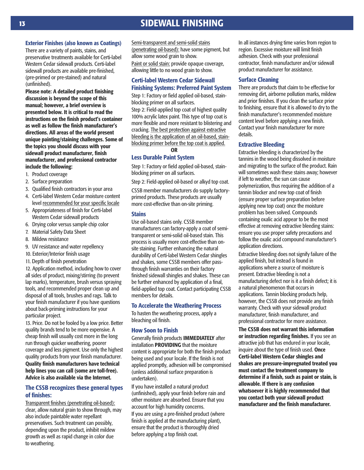#### **Exterior Finishes (also known as Coatings)**

There are a variety of paints, stains, and preservative treatments available for Certi-label Western Cedar sidewall products. Certi-label sidewall products are available pre-finished, (pre-primed or pre-stained) and natural (unfinished).

**Please note: A detailed product finishing discussion is beyond the scope of this manual; however, a brief overview is presented below. It is critical to read the instructions on the finish product's container as well as follow the finish manufacturer's directions. All areas of the world present unique painting/staining challenges. Some of the topics you should discuss with your sidewall product manufacturer, finish manufacturer, and professional contractor include the following:**

- 1. Product coverage
- 2. Surface preparation
- 3. Qualified finish contractors in your area
- 4. Certi-label Western Cedar moisture content level recommended for your specific locale
- 5. Appropriateness of finish for Certi-label Western Cedar sidewall products
- 6. Drying color versus sample chip color
- 7. Material Safety Data Sheet
- 8. Mildew resistance
- 9. UV resistance and water repellency
- 10. Exterior/Interior finish usage
- 11. Depth of finish penetration

12. Application method, including how to cover all sides of product, mixing/stirring (to prevent lap marks), temperature, brush versus spraying tools, and recommended proper clean up and disposal of all tools, brushes and rags. Talk to your finish manufacturer if you have questions about back-priming instructions for your particular project.

13. Price. Do not be fooled by a low price. Better quality brands tend to be more expensive. A cheap finish will usually cost more in the long run through quicker weathering, poorer coverage and less pigment. Use only the highest quality products from your finish manufacturer. **Quality finish manufacturers have technical help lines you can call (some are toll-free). Advice is also available via the Internet.**

#### **The CSSB recognizes these general types of finishes:**

Transparent finishes (penetrating oil-based): clear, allow natural grain to show through, may also include paintable water repellant preservatives. Such treatment can possibly, depending upon the product, inhibit mildew growth as well as rapid change in color due to weathering.

Semi-transparent and semi-solid stains (penetrating oil-based): have some pigment, but allow some wood grain to show. Paint or solid stain: provide opaque coverage, allowing little to no wood grain to show.

## **Certi-label Western Cedar Sidewall Finishing Systems: Preferred Paint System**

Step 1: Factory or field applied oil-based, stainblocking primer on all surfaces.

Step 2: Field-applied top coat of highest quality 100% acrylic latex paint. This type of top coat is more flexible and more resistant to blistering and cracking. The best protection against extractive bleeding is the application of an oil-based, stainblocking primer before the top coat is applied.

**OR**

#### **Less Durable Paint System**

Step 1: Factory or field applied oil-based, stainblocking primer on all surfaces.

Step 2: Field-applied oil-based or alkyd top coat.

CSSB member manufacturers do supply factoryprimed products. These products are usually more cost-effective than on-site priming.

#### **Stains**

Use oil-based stains only. CSSB member manufacturers can factory-apply a coat of semitransparent or semi-solid oil-based stain. This process is usually more cost-effective than onsite staining. Further enhancing the natural durability of Certi-label Western Cedar shingles and shakes, some CSSB members offer passthrough finish warranties on their factory finished sidewall shingles and shakes. These can be further enhanced by application of a final, field-applied top coat. Contact participating CSSB members for details.

#### **To Accelerate the Weathering Process**

To hasten the weathering process, apply a bleaching oil finish.

#### **How Soon to Finish**

Generally finish products **IMMEDIATELY** after installation **PROVIDING** that the moisture content is appropriate for both the finish product being used and your locale. If the finish is not applied promptly, adhesion will be compromised (unless additional surface preparation is undertaken).

If you have installed a natural product (unfinished), apply your finish before rain and other moisture are absorbed. Ensure that you account for high humidity concerns.

If you are using a pre-finished product (where finish is applied at the manufacturing plant), ensure that the product is thoroughly dried before applying a top finish coat.

In all instances drying time varies from region to region. Excessive moisture will limit finish adhesion. Check with your professional contractor, finish manufacturer and/or sidewall product manufacturer for assistance.

#### **Surface Cleaning**

There are products that claim to be effective for removing dirt, airborne pollution marks, mildew and prior finishes. If you clean the surface prior to finishing, ensure that it is allowed to dry to the finish manufacturer's recommended moisture content level before applying a new finish. Contact your finish manufacturer for more details.

#### **Extractive Bleeding**

Extractive bleeding is characterized by the tannins in the wood being dissolved in moisture and migrating to the surface of the product. Rain will sometimes wash these stains away; however if left to weather, the sun can cause polymerization, thus requiring the addition of a tannin blocker and new top coat of finish (ensure proper surface preparation before applying new top coat) once the moisture problem has been solved. Compounds containing oxalic acid appear to be the most effective at removing extractive bleeding stains: ensure you use proper safety precautions and follow the oxalic acid compound manufacturer's application directions.

Extractive bleeding does not signify failure of the applied finish, but instead is found in applications where a source of moisture is present. Extractive bleeding is not a manufacturing defect nor is it a finish defect; it is a natural phenomenon that occurs in applications. Tannin blocking products help, however, the CSSB does not provide any finish warranty. Check with your sidewall product manufacturer, finish manufacturer, and professional contractor for more assistance.

**The CSSB does not warrant this information or instruction regarding finishes.** If you see an attractive job that has endured in your locale, inquire about the type of finish used. **Once Certi-label Western Cedar shingles and shakes are pressure-impregnated treated you must contact the treatment company to determine if a finish, such as paint or stain, is allowable. If there is any confusion whatsoever it is highly recommended that you contact both your sidewall product manufacturer and the finish manufacturer.**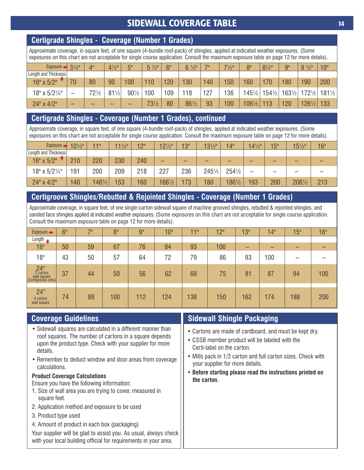# **SIDEWALL COVERAGE TABLE PHOTOS 14**

## **Certigrade Shingles - Coverage (Number 1 Grades)**

Approximate coverage, in square feet, of one square (4-bundle roof-pack) of shingles, applied at indicated weather exposures. (Some exposures on this chart are not acceptable for single course application. Consult the maximum exposure table on page 12 for more details).

| Exposure $\Rightarrow$ 3 <sup>1</sup> / <sub>2</sub> <sup>"</sup> |    | 4"              | $4\frac{1}{2}$  | ξШ              | $5\frac{1}{2}$  | 6"  | $\frac{1}{2}$<br>6 <sup>1</sup> | 70  | $7\frac{1}{2}$ " | 8"               | $8\frac{1}{2}$ " | 9"                                                   | $9\frac{1}{2}$   | 10"           |
|-------------------------------------------------------------------|----|-----------------|-----------------|-----------------|-----------------|-----|---------------------------------|-----|------------------|------------------|------------------|------------------------------------------------------|------------------|---------------|
| Length and Thickness                                              |    |                 |                 |                 |                 |     |                                 |     |                  |                  |                  |                                                      |                  |               |
| $16" \times 5/2"$                                                 | 70 | 80              | 90              | 100             | 110             | 120 | 130                             | 140 | 150              | 160              | 170              | 180                                                  | 190              | 200           |
| $18" \times 5/2\frac{1}{4}$                                       |    | $72\frac{1}{2}$ | $81\frac{1}{2}$ | $90\frac{1}{2}$ | 100             | 109 | 118                             | 127 | 136              |                  |                  | $145\frac{1}{2}$ 154 $\frac{1}{2}$ 163 $\frac{1}{2}$ |                  | 1721/2 1811/2 |
| $24" \times 4/2"$                                                 | -  |                 | -               |                 | $73\frac{1}{2}$ | 80  | 861/2                           | 93  | 100              | $106\frac{1}{2}$ | 113              | 120                                                  | $126\frac{1}{2}$ | 133           |

## **Certigrade Shingles - Coverage (Number 1 Grades), continued**

Approximate coverage, in square feet, of one square (4-bundle roof-pack) of shingles, applied at indicated weather exposures. (Some exposures on this chart are not acceptable for single course application. Consult the maximum exposure table on page 12 for more details).

| $Exposure \rightarrow$      | $10\frac{1}{2}$ " | 440.             | $11\frac{1}{2}$ | 12" | $12\frac{1}{2}$  | 13" | $13\frac{1}{2}$  | 14"              | $14\frac{1}{2}$ | 15" | $15\frac{1}{2}$ | 16" |
|-----------------------------|-------------------|------------------|-----------------|-----|------------------|-----|------------------|------------------|-----------------|-----|-----------------|-----|
| Length and Thickness        |                   |                  |                 |     |                  |     |                  |                  |                 |     |                 |     |
| $16" \times 5/2"$           | 210               | 220              | 230             | 240 | -                | -   | -                | -                | -               |     |                 |     |
| $18" \times 5/2\frac{1}{4}$ | 191               | 200              | 209             | 218 | 227              | 236 | $245\frac{1}{2}$ | $254\frac{1}{2}$ |                 |     |                 |     |
| 24" x 4/2"                  | 140               | $146\frac{1}{2}$ | 153             | 160 | $166\frac{1}{2}$ | 173 | 180              | 1861/2           | 193             | 200 | 2061/2          | 213 |

## **Certigroove Shingles/Rebutted & Rejointed Shingles - Coverage (Number 1 Grades)**

Approximate coverage, in square feet, of one single-carton sidewall square of machine grooved shingles, rebutted & rejointed shingles, and sanded face shingles applied at indicated weather exposures. (Some exposures on this chart are not acceptable for single course application. Consult the maximum exposure table on page 12 for more details).

| $Exposure \rightarrow$                               | 6" | 70 | 8"  | 9"  | 10" | 440 | 12" | 13" | 14" | 15" | 16" |
|------------------------------------------------------|----|----|-----|-----|-----|-----|-----|-----|-----|-----|-----|
| Length y                                             |    |    |     |     |     |     |     |     |     |     |     |
| 16"                                                  | 50 | 59 | 67  | 76  | 84  | 93  | 100 | -   | –   | -   |     |
| 18"                                                  | 43 | 50 | 57  | 64  | 72  | 79  | 86  | 93  | 100 |     |     |
| 24"<br>2 carton<br>wall square<br>(Certigroove only) | 37 | 44 | 50  | 56  | 62  | 69  | 75  | 81  | 87  | 94  | 100 |
| 24"<br>4 carton<br>wall square                       | 74 | 88 | 100 | 112 | 124 | 138 | 150 | 162 | 174 | 188 | 200 |

- Sidewall squares are calculated in a different manner than roof squares. The number of cartons in a square depends upon the product type. Check with your supplier for more details.
- Remember to deduct window and door areas from coverage calculations.

## **Product Coverage Calculations**

Ensure you have the following information:

- 1. Size of wall area you are trying to cover, measured in square feet.
- 2. Application method and exposure to be used
- 3. Product type used
- 4. Amount of product in each box (packaging)

Your supplier will be glad to assist you. As usual, always check with your local building official for requirements in your area.

## **Coverage Guidelines Sidewall Shingle Packaging**

- Cartons are made of cardboard, and must be kept dry.
- CSSB member product will be labeled with the Certi-label on the carton.
- Mills pack in 1/2 carton and full carton sizes. Check with your supplier for more details.
- **Before starting please read the instructions printed on the carton.**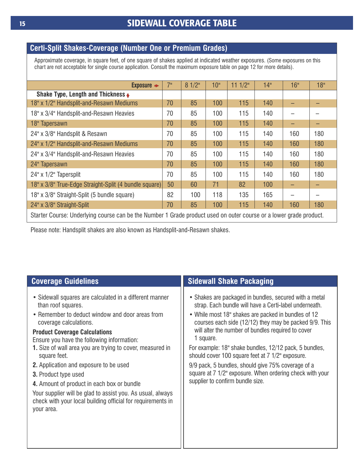## **Certi-Split Shakes-Coverage (Number One or Premium Grades)**

Approximate coverage, in square feet, of one square of shakes applied at indicated weather exposures. (Some exposures on this chart are not acceptable for single course application. Consult the maximum exposure table on page 12 for more details).

| Exposure $\rightarrow$                                                                                             | 7" | 81/2" | 10 <sup>th</sup> | 111/2" | 14" | 16" | 18" |
|--------------------------------------------------------------------------------------------------------------------|----|-------|------------------|--------|-----|-----|-----|
| Shake Type, Length and Thickness ↓                                                                                 |    |       |                  |        |     |     |     |
| 18" x 1/2" Handsplit-and-Resawn Mediums                                                                            | 70 | 85    | 100              | 115    | 140 |     |     |
| 18" x 3/4" Handsplit-and-Resawn Heavies                                                                            | 70 | 85    | 100              | 115    | 140 |     |     |
| 18" Tapersawn                                                                                                      | 70 | 85    | 100              | 115    | 140 |     |     |
| 24" x 3/8" Handsplit & Resawn                                                                                      | 70 | 85    | 100              | 115    | 140 | 160 | 180 |
| 24" x 1/2" Handsplit-and-Resawn Mediums                                                                            | 70 | 85    | 100              | 115    | 140 | 160 | 180 |
| 24" x 3/4" Handsplit-and-Resawn Heavies                                                                            | 70 | 85    | 100              | 115    | 140 | 160 | 180 |
| 24" Tapersawn                                                                                                      | 70 | 85    | 100              | 115    | 140 | 160 | 180 |
| 24" x 1/2" Tapersplit                                                                                              | 70 | 85    | 100              | 115    | 140 | 160 | 180 |
| 18" x 3/8" True-Edge Straight-Split (4 bundle square)                                                              | 50 | 60    | 71               | 82     | 100 |     |     |
| 18" x 3/8" Straight-Split (5 bundle square)                                                                        | 82 | 100   | 118              | 135    | 165 |     |     |
| 70<br>85<br>100<br>115<br>24" x 3/8" Straight-Split<br>140<br>180<br>160                                           |    |       |                  |        |     |     |     |
| Starter Course: Underlying course can be the Number 1 Grade product used on outer course or a lower grade product. |    |       |                  |        |     |     |     |

Please note: Handsplit shakes are also known as Handsplit-and-Resawn shakes.

| <b>Coverage Guidelines</b>                                                                                                                                                                                                                                                                                                                                                                                                                                                                                                                                                                                    | <b>Sidewall Shake Packaging</b>                                                                                                                                                                                                                                                                                                                                                                                                                                                                                                                                          |
|---------------------------------------------------------------------------------------------------------------------------------------------------------------------------------------------------------------------------------------------------------------------------------------------------------------------------------------------------------------------------------------------------------------------------------------------------------------------------------------------------------------------------------------------------------------------------------------------------------------|--------------------------------------------------------------------------------------------------------------------------------------------------------------------------------------------------------------------------------------------------------------------------------------------------------------------------------------------------------------------------------------------------------------------------------------------------------------------------------------------------------------------------------------------------------------------------|
| • Sidewall squares are calculated in a different manner<br>than roof squares.<br>• Remember to deduct window and door areas from<br>coverage calculations.<br><b>Product Coverage Calculations</b><br>Ensure you have the following information:<br><b>1.</b> Size of wall area you are trying to cover, measured in<br>square feet.<br><b>2.</b> Application and exposure to be used<br><b>3.</b> Product type used<br>4. Amount of product in each box or bundle<br>Your supplier will be glad to assist you. As usual, always<br>check with your local building official for requirements in<br>your area. | • Shakes are packaged in bundles, secured with a metal<br>strap. Each bundle will have a Certi-label underneath.<br>• While most 18" shakes are packed in bundles of 12<br>courses each side (12/12) they may be packed 9/9. This<br>will alter the number of bundles required to cover<br>1 square.<br>For example: 18" shake bundles, 12/12 pack, 5 bundles,<br>should cover 100 square feet at 7 1/2" exposure.<br>9/9 pack, 5 bundles, should give 75% coverage of a<br>square at 7 1/2" exposure. When ordering check with your<br>supplier to confirm bundle size. |

Ш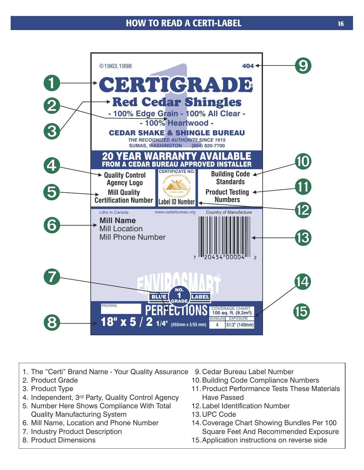## **HOW TO READ A CERTI-LABEL 16**



- 1. The "Certi" Brand Name Your Quality Assurance 9. Cedar Bureau Label Number
- 2. Product Grade
- 3. Product Type
- 4. Independent, 3<sup>rd</sup> Party, Quality Control Agency
- 5. Number Here Shows Compliance With Total Quality Manufacturing System
- 6. Mill Name, Location and Phone Number
- 7. Industry Product Description
- 8. Product Dimensions
- 
- 10.Building Code Compliance Numbers
- 11.Product Performance Tests These Materials Have Passed
- 12.Label Identification Number
- 13.UPC Code
- 14.Coverage Chart Showing Bundles Per 100 Square Feet And Recommended Exposure
- 15.Application instructions on reverse side